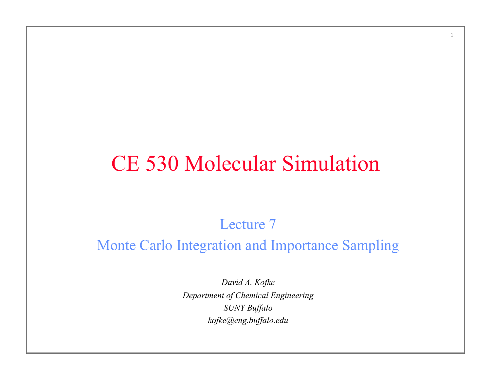### CE 530 Molecular Simulation

1

Lecture 7

#### Monte Carlo Integration and Importance Sampling

*David A. Kofke Department of Chemical Engineering SUNY Buffalo kofke@eng.buffalo.edu*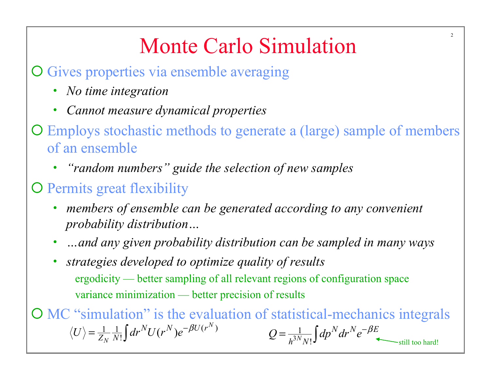# Monte Carlo Simulation

2

O Gives properties via ensemble averaging

- *No time integration*
- *Cannot measure dynamical properties*
- ¡ Employs stochastic methods to generate a (large) sample of members of an ensemble
	- *"random numbers" guide the selection of new samples*
- **O** Permits great flexibility
	- *members of ensemble can be generated according to any convenient probability distribution…*
	- *…and any given probability distribution can be sampled in many ways*
	- *strategies developed to optimize quality of results*  ergodicity — better sampling of all relevant regions of configuration space variance minimization — better precision of results

¡ MC "simulation" is the evaluation of statistical-mechanics integrals 3 1  $N$ <sub>N!</sub>  $\frac{1}{N} \frac{1}{N!} \int dr^N U(r^N) e^{-\beta U(r^N)}$   $Q = \frac{1}{h^{3N} N!} \int dp^N dr^N e^{-\beta E}$  $\frac{1}{2}$  dr<sup>N</sup>U(r<sup>N</sup>) *N N*  $\langle U \rangle = \frac{1}{Z_N} \frac{1}{N!} \int dr^N U(r^N) e^{-\beta U(r^N)}$   $Q = \frac{1}{h^{3N} N!} \int dp^N dr^N e^{-\beta E}$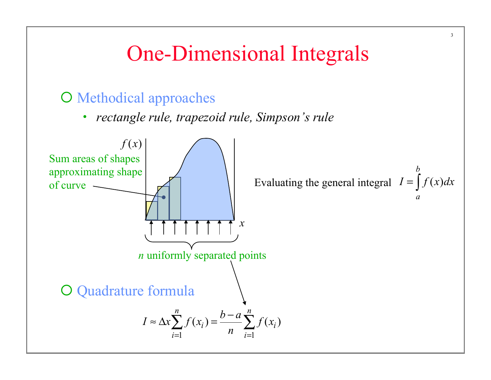### One-Dimensional Integrals

3

#### O Methodical approaches

• *rectangle rule, trapezoid rule, Simpson's rule* 

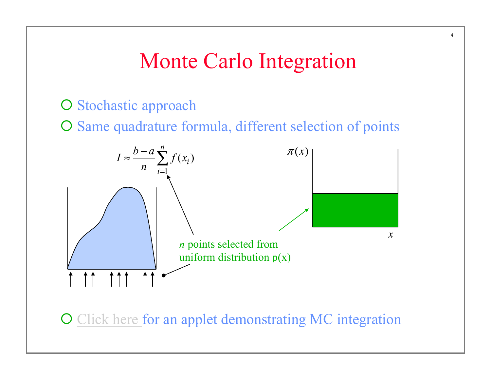### Monte Carlo Integration

#### O Stochastic approach

O Same quadrature formula, different selection of points



O Click here for an applet demonstrating MC integration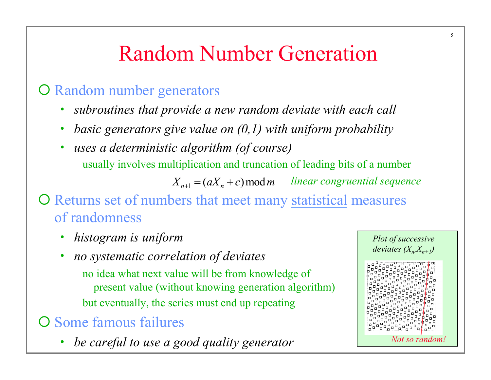# Random Number Generation

#### O Random number generators

- *subroutines that provide a new random deviate with each call*
- *basic generators give value on (0,1) with uniform probability*
- *uses a deterministic algorithm (of course)*  usually involves multiplication and truncation of leading bits of a number  $X_{n+1} = (aX_n + c) \mod m$  *linear congruential sequence*

### O Returns set of numbers that meet many statistical measures of randomness

- *histogram is uniform*
- *no systematic correlation of deviates* 
	- no idea what next value will be from knowledge of present value (without knowing generation algorithm) but eventually, the series must end up repeating
- O Some famous failures
	- *be careful to use a good quality generator*

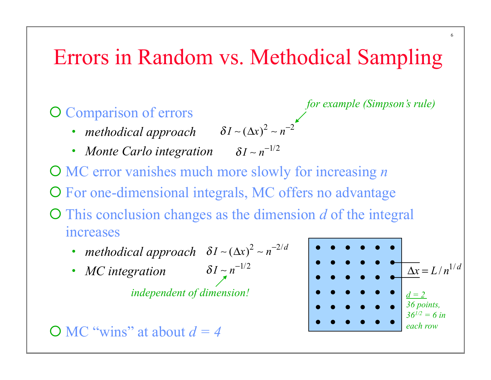### Errors in Random vs. Methodical Sampling

#### O Comparison of errors

- *methodical approach*  $\delta I \sim (\Delta x)^2 \sim n^{-2}$
- *Monte Carlo integration*  <sup>δ</sup> *I* ∼ *n*−1/2

¡ MC error vanishes much more slowly for increasing *n*  O For one-dimensional integrals, MC offers no advantage ¡ This conclusion changes as the dimension *d* of the integral increases

- *methodical approach*  $\delta I (\Delta x)^2 n^{-2/d}$
- *MC integration*

*independent of dimension!*

 $\bigcirc$  MC "wins" at about  $d = 4$ 



*for example (Simpson's rule)*

6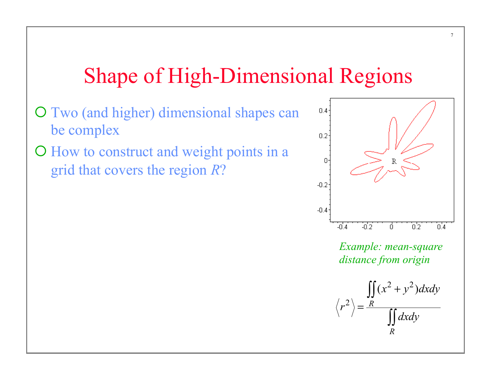### Shape of High-Dimensional Regions

- ¡ Two (and higher) dimensional shapes can be complex
- ¡ How to construct and weight points in a grid that covers the region *R*?



7

*Example: mean-square distance from origin*

$$
\langle r^2 \rangle = \frac{\iint_R (x^2 + y^2) dx dy}{\iint_R dx dy}
$$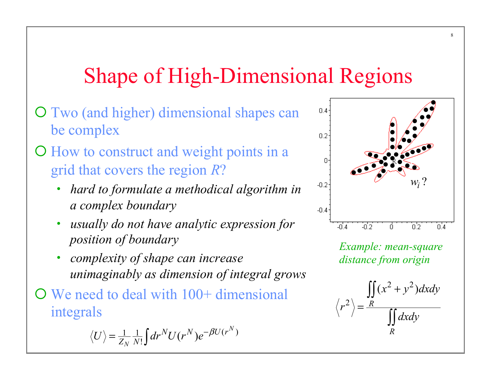# Shape of High-Dimensional Regions

- O Two (and higher) dimensional shapes can be complex
- ¡ How to construct and weight points in a grid that covers the region *R*?
	- *hard to formulate a methodical algorithm in a complex boundary*
	- *usually do not have analytic expression for position of boundary*
	- *complexity of shape can increase unimaginably as dimension of integral grows*
- $\overline{O}$  We need to deal with 100+ dimensional integrals

$$
\langle U \rangle = \frac{1}{Z_N} \frac{1}{N!} \int dr^N U(r^N) e^{-\beta U(r^N)}
$$



*Example: mean-square distance from origin*

 $2^{1,2}$ 2  $(x^2 + y^2)$ *R R*  $(x^2 + y^2)dxdy$ *r dxdy* + = ∫∫ ∫∫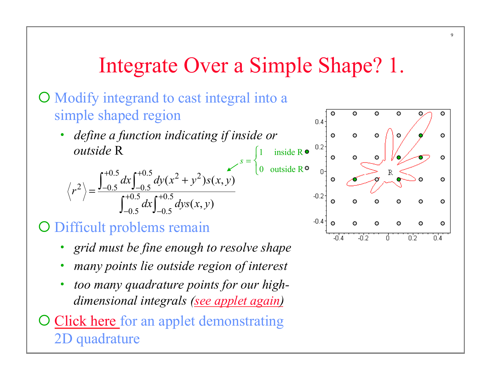### Integrate Over a Simple Shape? 1.

 $\overline{\mathsf{L}}$ 

#### ¡ Modify integrand to cast integral into a simple shaped region

• *define a function indicating if inside or outside* R  $s = \begin{cases} 1 & \text{if } s \leq 1 \end{cases}$ ⎨

$$
\langle r^2 \rangle = \frac{\int_{-0.5}^{+0.5} dx \int_{-0.5}^{+0.5} dy (x^2 + y^2) s(x, y)}{\int_{-0.5}^{+0.5} dx \int_{-0.5}^{+0.5} dy s(x, y)}
$$

#### O Difficult problems remain

- *grid must be fine enough to resolve shape*
- *many points lie outside region of interest*
- *too many quadrature points for our highdimensional integrals (see applet again)*
- Click here for an applet demonstrating 2D quadrature



9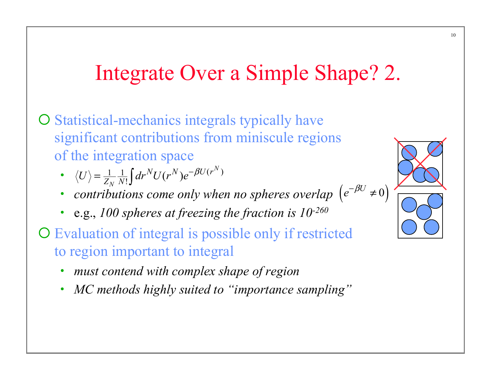## Integrate Over a Simple Shape? 2.

- O Statistical-mechanics integrals typically have significant contributions from miniscule regions of the integration space
	- $\langle U \rangle = \frac{1}{Z_N} \frac{1}{N!} \int dr^N U(r^N) e^{-\beta U(r^N)}$  $\langle U \rangle = \frac{1}{Z_N} \frac{1}{N!} \int dr^N U(r^N) e^{-\beta U(r^N)}$
	- *contributions come only when no spheres overlap N*<sup>*N*</sup>:J<br>putions come only when no spheres overlap (e<sup>−βU</sup> ≠0)
	- e.g., *100 spheres at freezing the fraction is 10-260*
- ¡ Evaluation of integral is possible only if restricted to region important to integral
	- *must contend with complex shape of region*
	- *MC methods highly suited to "importance sampling"*

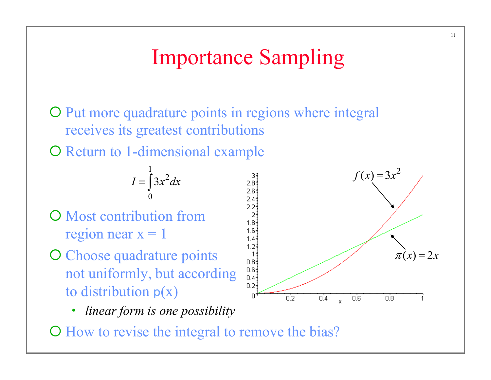### Importance Sampling

O Put more quadrature points in regions where integral receives its greatest contributions

O Return to 1-dimensional example

$$
I = \int_{0}^{1} 3x^2 dx
$$

- **O** Most contribution from region near  $x = 1$
- O Choose quadrature points not uniformly, but according to distribution  $p(x)$ 
	- *linear form is one possibility*



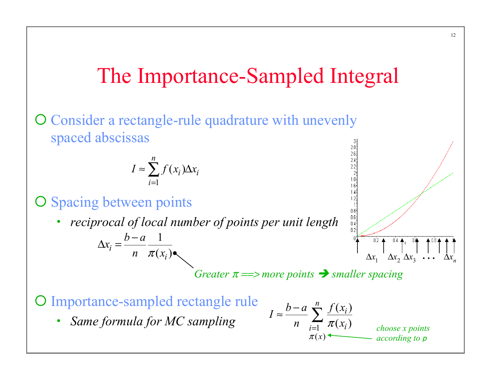### The Importance-Sampled Integral

#### O Consider a rectangle-rule quadrature with unevenly spaced abscissas

$$
I \approx \sum_{i=1}^{n} f(x_i) \Delta x_i
$$

- O Spacing between points
	- *reciprocal of local number of points per unit length*

$$
\Delta x_i = \frac{b-a}{n} \frac{1}{\pi(x_i)}.
$$

 $$ 

 $\pi(x)$ 

O Importance-sampled rectangle rule

• *Same formula for MC sampling* 

$$
1 \approx \frac{b-a}{n} \sum_{i=1}^{n} \frac{f(x_i)}{\pi(x_i)}
$$
  
1 ≈  $\frac{b-a}{n} \sum_{i=1}^{n} \frac{f(x_i)}{\pi(x_i)}$  choose x points

 $0.8$ <br>0.6<br>0.4<br>0.4<br>0.2

*according to* p

 $\Delta x_1$   $\Delta x_2$   $\Delta x_3$ 

 $0.2$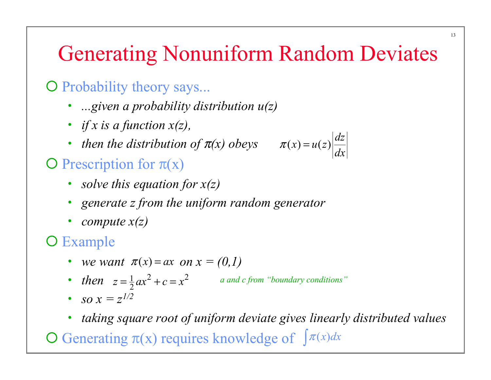### Generating Nonuniform Random Deviates

 $f(x) = u(z) \left| \frac{dz}{dt} \right|$ 

 $\pi(x) =$ 

*dx*

#### $\overline{O}$  Probability theory says...

- *...given a probability distribution u(z)*
- *if x is a function x(z),*
- *then the distribution of* π*(x) obeys*

### $\bigcirc$  Prescription for  $\pi(x)$

- *solve this equation for x(z)*
- *generate z from the uniform random generator*
- *compute x(z)*

### O Example

- *we want*  $\pi(x) = ax$  *on*  $x = (0,1)$
- *then*  $z = \frac{1}{2}ax^2 + c = x^2$  $\alpha$  and c from "boundary conditions"
- *so*  $x = z^{1/2}$
- *taking square root of uniform deviate gives linearly distributed values*

**O** Generating  $\pi(x)$  requires knowledge of  $\int \pi(x)dx$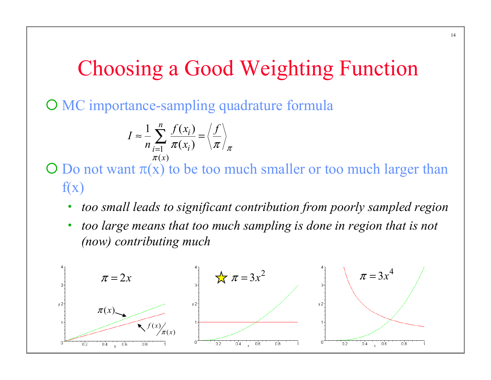### Choosing a Good Weighting Function

O MC importance-sampling quadrature formula

$$
I \approx \frac{1}{n} \sum_{\substack{i=1 \ \pi(x_i)}}^n \frac{f(x_i)}{\pi(x_i)} = \left\langle \frac{f}{\pi} \right\rangle_{\pi}
$$

 $\overline{O}$  Do not want  $\pi(x)$  to be too much smaller or too much larger than  $f(x)$ 

- *too small leads to significant contribution from poorly sampled region*
- *too large means that too much sampling is done in region that is not (now) contributing much*

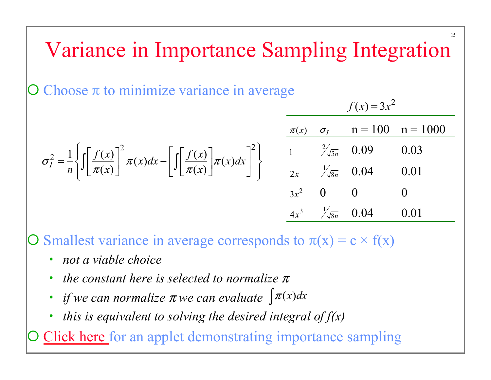# Variance in Importance Sampling Integration

Choose  $\pi$  to minimize variance in average

$$
\sigma_I^2 = \frac{1}{n} \left\{ \int \left[ \frac{f(x)}{\pi(x)} \right]^2 \pi(x) dx - \left[ \int \left[ \frac{f(x)}{\pi(x)} \right] \pi(x) dx \right]^2 \right\} \qquad \begin{array}{ccc} \frac{\pi(x)}{1} & \frac{\sigma_I}{\sqrt[3]{5n}} & 0.09 & 0.03 \\ 1 & \frac{2}{\sqrt[3]{5n}} & 0.09 & 0.03 \\ 2x & \frac{1}{\sqrt[3]{8n}} & 0.04 & 0.01 \\ 3x^2 & 0 & 0 & 0 \\ 4x^3 & \frac{1}{\sqrt[3]{8n}} & 0.04 & 0.01 \end{array}
$$

Smallest variance in average corresponds to  $\pi(x) = c \times f(x)$ 

- *not a viable choice*
- *the constant here is selected to normalize* <sup>π</sup>
- *if we can normalize*  $\pi$  *we can evaluate*  $\int \pi(x) dx$
- *this is equivalent to solving the desired integral of f(x)*

Click here for an applet demonstrating importance sampling

15

 $f(x) = 3x^2$